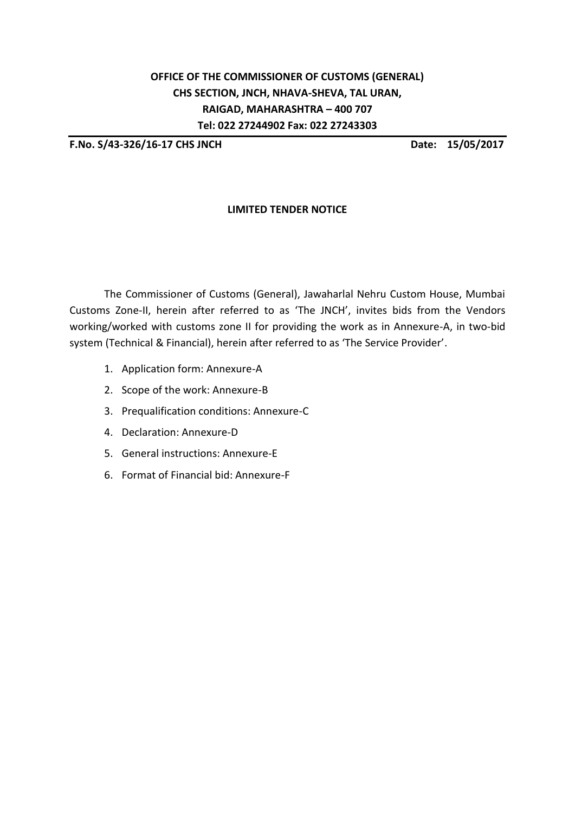# **OFFICE OF THE COMMISSIONER OF CUSTOMS (GENERAL) CHS SECTION, JNCH, NHAVA-SHEVA, TAL URAN, RAIGAD, MAHARASHTRA – 400 707 Tel: 022 27244902 Fax: 022 27243303**

**F.No. S/43-326/16-17 CHS JNCH Date: 15/05/2017**

# **LIMITED TENDER NOTICE**

The Commissioner of Customs (General), Jawaharlal Nehru Custom House, Mumbai Customs Zone-II, herein after referred to as 'The JNCH', invites bids from the Vendors working/worked with customs zone II for providing the work as in Annexure-A, in two-bid system (Technical & Financial), herein after referred to as 'The Service Provider'.

- 1. Application form: Annexure-A
- 2. Scope of the work: Annexure-B
- 3. Prequalification conditions: Annexure-C
- 4. Declaration: Annexure-D
- 5. General instructions: Annexure-E
- 6. Format of Financial bid: Annexure-F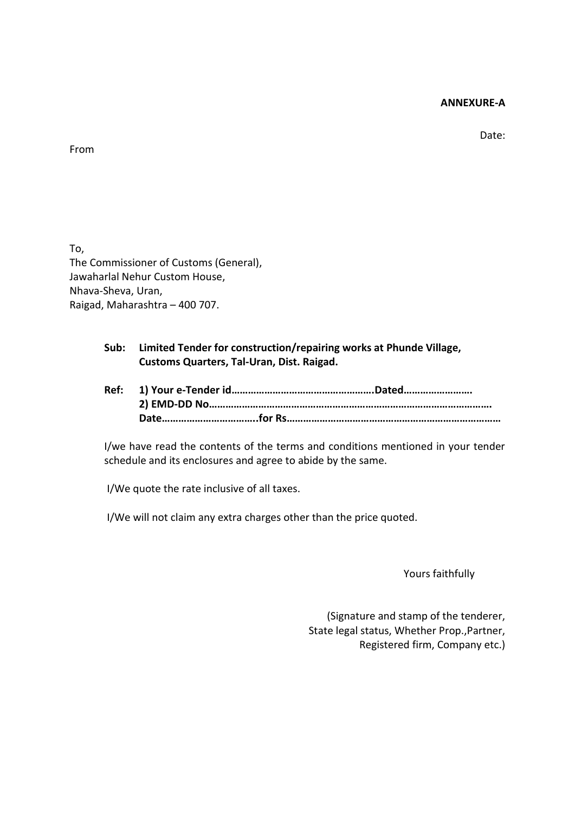#### **ANNEXURE-A**

Date:

### From

To, The Commissioner of Customs (General), Jawaharlal Nehur Custom House, Nhava-Sheva, Uran, Raigad, Maharashtra – 400 707.

# **Sub: Limited Tender for construction/repairing works at Phunde Village, Customs Quarters, Tal-Uran, Dist. Raigad.**

**Ref: 1) Your e-Tender id…………………………………………….Dated……………………. 2) EMD-DD No…………………………………………………………………………………………. Date……………………………..for Rs……………………………………………………………………**

I/we have read the contents of the terms and conditions mentioned in your tender schedule and its enclosures and agree to abide by the same.

I/We quote the rate inclusive of all taxes.

I/We will not claim any extra charges other than the price quoted.

Yours faithfully

(Signature and stamp of the tenderer, State legal status, Whether Prop.,Partner, Registered firm, Company etc.)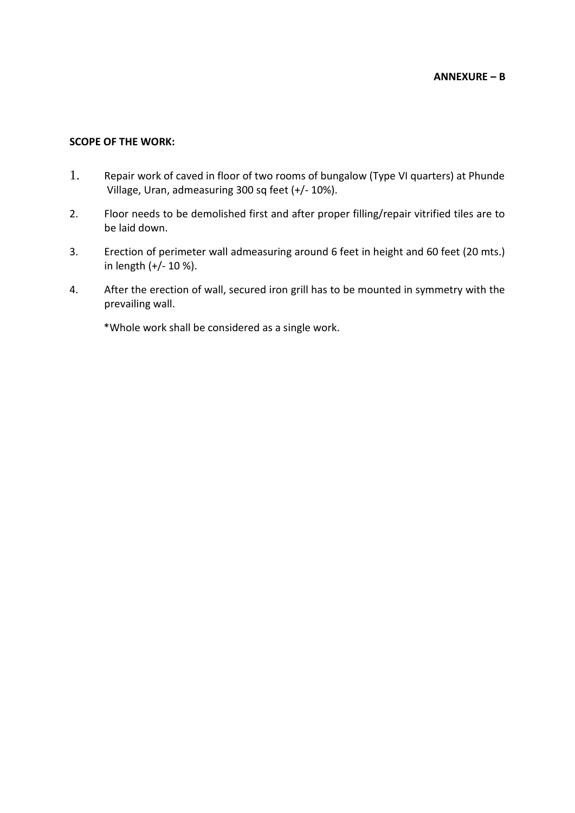### **SCOPE OF THE WORK:**

- 1. Repair work of caved in floor of two rooms of bungalow (Type VI quarters) at Phunde Village, Uran, admeasuring 300 sq feet (+/- 10%).
- 2. Floor needs to be demolished first and after proper filling/repair vitrified tiles are to be laid down.
- 3. Erection of perimeter wall admeasuring around 6 feet in height and 60 feet (20 mts.) in length (+/- 10 %).
- 4. After the erection of wall, secured iron grill has to be mounted in symmetry with the prevailing wall.

\*Whole work shall be considered as a single work.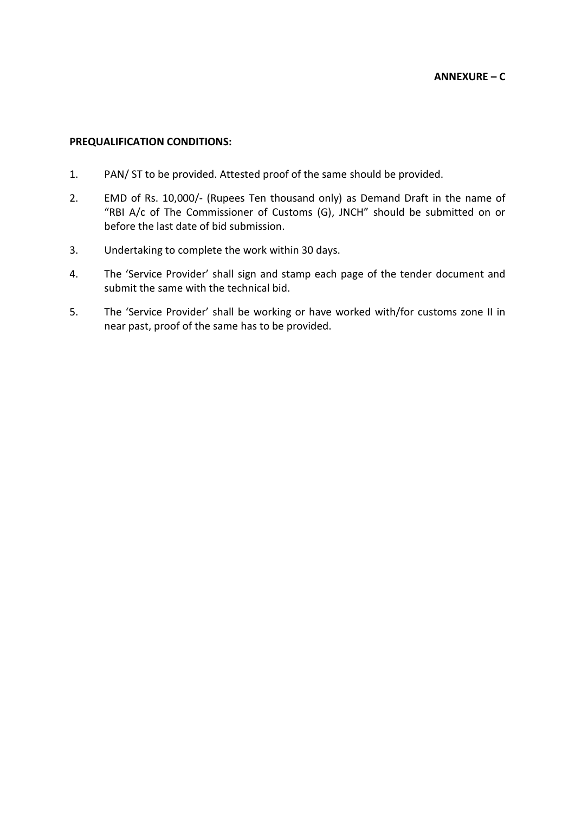## **PREQUALIFICATION CONDITIONS:**

- 1. PAN/ ST to be provided. Attested proof of the same should be provided.
- 2. EMD of Rs. 10,000/- (Rupees Ten thousand only) as Demand Draft in the name of "RBI A/c of The Commissioner of Customs (G), JNCH" should be submitted on or before the last date of bid submission.
- 3. Undertaking to complete the work within 30 days.
- 4. The 'Service Provider' shall sign and stamp each page of the tender document and submit the same with the technical bid.
- 5. The 'Service Provider' shall be working or have worked with/for customs zone II in near past, proof of the same has to be provided.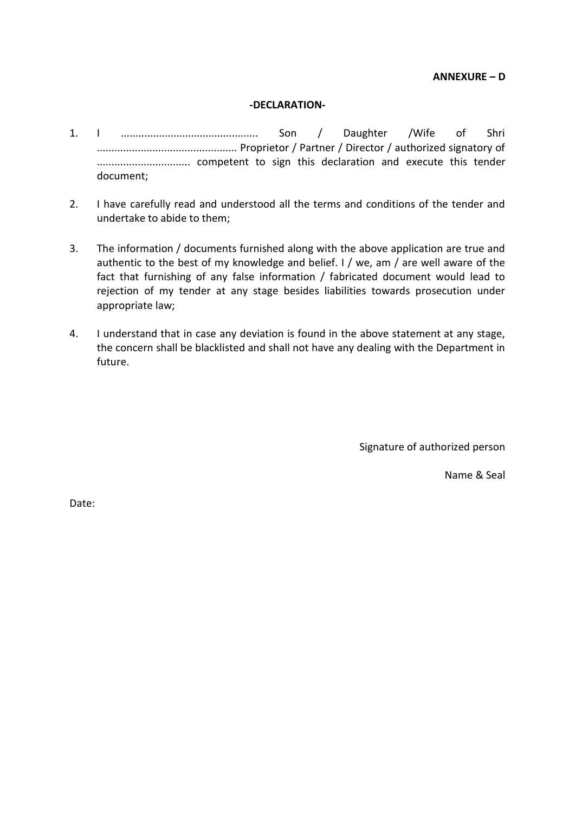**ANNEXURE – D**

#### **-DECLARATION-**

- 1. I ............................................... Son / Daughter /Wife of Shri ................................................ Proprietor / Partner / Director / authorized signatory of ................................ competent to sign this declaration and execute this tender document;
- 2. I have carefully read and understood all the terms and conditions of the tender and undertake to abide to them;
- 3. The information / documents furnished along with the above application are true and authentic to the best of my knowledge and belief. I / we, am / are well aware of the fact that furnishing of any false information / fabricated document would lead to rejection of my tender at any stage besides liabilities towards prosecution under appropriate law;
- 4. I understand that in case any deviation is found in the above statement at any stage, the concern shall be blacklisted and shall not have any dealing with the Department in future.

Signature of authorized person

Name & Seal

Date: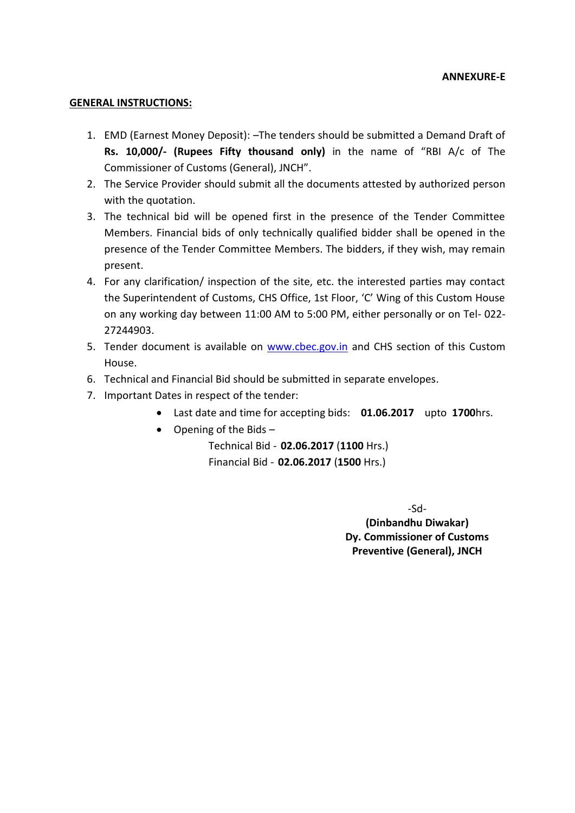#### **GENERAL INSTRUCTIONS:**

- 1. EMD (Earnest Money Deposit): –The tenders should be submitted a Demand Draft of **Rs. 10,000/- (Rupees Fifty thousand only)** in the name of "RBI A/c of The Commissioner of Customs (General), JNCH".
- 2. The Service Provider should submit all the documents attested by authorized person with the quotation.
- 3. The technical bid will be opened first in the presence of the Tender Committee Members. Financial bids of only technically qualified bidder shall be opened in the presence of the Tender Committee Members. The bidders, if they wish, may remain present.
- 4. For any clarification/ inspection of the site, etc. the interested parties may contact the Superintendent of Customs, CHS Office, 1st Floor, 'C' Wing of this Custom House on any working day between 11:00 AM to 5:00 PM, either personally or on Tel- 022- 27244903.
- 5. Tender document is available on [www.cbec.gov.in](http://www.cbec.gov.in/) and CHS section of this Custom House.
- 6. Technical and Financial Bid should be submitted in separate envelopes.
- 7. Important Dates in respect of the tender:
	- Last date and time for accepting bids: **01.06.2017** upto **1700**hrs.
	- Opening of the Bids  $-$

Technical Bid - **02.06.2017** (**1100** Hrs.) Financial Bid - **02.06.2017** (**1500** Hrs.)

-Sd-

**(Dinbandhu Diwakar) Dy. Commissioner of Customs Preventive (General), JNCH**